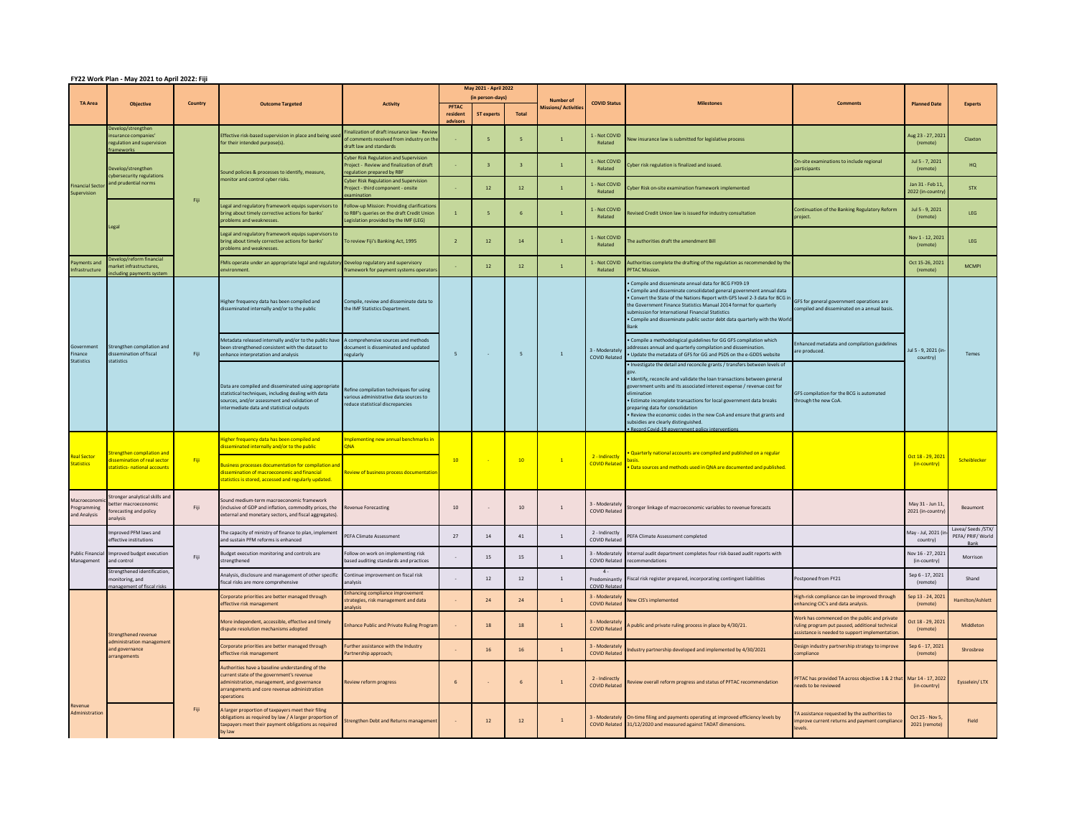| FY22 Work Plan - May 2021 to April 2022: Fiji |                                                                                                  |                                                    |                                                                                                                                                                                                           |                                                                                                                                 |                          |                                                                |                |                                               |                                               |                                                                                                                                                                                                                                                                                                                                                                                                                                                                                                                          |                                                                                                                                                  |                                     |                                         |
|-----------------------------------------------|--------------------------------------------------------------------------------------------------|----------------------------------------------------|-----------------------------------------------------------------------------------------------------------------------------------------------------------------------------------------------------------|---------------------------------------------------------------------------------------------------------------------------------|--------------------------|----------------------------------------------------------------|----------------|-----------------------------------------------|-----------------------------------------------|--------------------------------------------------------------------------------------------------------------------------------------------------------------------------------------------------------------------------------------------------------------------------------------------------------------------------------------------------------------------------------------------------------------------------------------------------------------------------------------------------------------------------|--------------------------------------------------------------------------------------------------------------------------------------------------|-------------------------------------|-----------------------------------------|
| <b>TA Area</b>                                | <b>Objective</b>                                                                                 | Country                                            | <b>Outcome Targeted</b>                                                                                                                                                                                   | <b>Activity</b>                                                                                                                 | <b>PFTAC</b><br>resident | May 2021 - April 2022<br>(in person-days)<br><b>ST experts</b> | Total          | <b>Number of</b><br><b>Aissions/Activitie</b> | <b>COVID Status</b>                           | <b>Milestones</b>                                                                                                                                                                                                                                                                                                                                                                                                                                                                                                        | <b>Comments</b>                                                                                                                                  | <b>Planned Date</b>                 | <b>Experts</b>                          |
| <b>Financial Secto</b><br>Supervision         | elop/strengthe<br>surance companies'<br>egulation and supervision<br>amework:                    | Fiii                                               | ffective risk-based supervision in place and being used<br>for their intended purpose(s).                                                                                                                 | inalization of draft insurance law - Revie<br>of comments received from industry on the<br>raft law and standards               | dvisor                   | $\overline{\phantom{a}}$                                       | $\sim$         | $\blacksquare$                                | I - Not COVID<br>Related                      | Vew insurance law is submitted for legislative process                                                                                                                                                                                                                                                                                                                                                                                                                                                                   |                                                                                                                                                  | Aug 23 - 27, 2021<br>(remote)       | Claxton                                 |
|                                               | evelop/strengthen<br><b>vbersecurity regulations</b><br>and prudential norms<br>eeal             |                                                    | Sound policies & processes to identify, measure,<br>nonitor and control cyber risks.                                                                                                                      | <b>Cyber Risk Regulation and Supervision</b><br>roiect - Review and finalization of draft<br>egulation prepared by RBF          |                          | $\overline{3}$                                                 |                |                                               | - Not COVID<br>Related                        | vber risk regulation is finalized and issued.                                                                                                                                                                                                                                                                                                                                                                                                                                                                            | On-site examinations to include regional<br>articipants                                                                                          | Jul 5 - 7, 2021<br>(remote)         | HO                                      |
|                                               |                                                                                                  |                                                    |                                                                                                                                                                                                           | <b>Cyber Risk Regulation and Supervision</b><br>Project - third component - onsite                                              |                          | 12                                                             | 12             |                                               | 1 - Not COVID<br>Related                      | yber Risk on-site examination framework implemented                                                                                                                                                                                                                                                                                                                                                                                                                                                                      |                                                                                                                                                  | Jan 31 - Feb 11<br>2022 (in-country | <b>STX</b>                              |
|                                               |                                                                                                  |                                                    | Legal and regulatory framework equips supervisors to<br>bring about timely corrective actions for banks'<br>roblems and weaknesses.                                                                       | ollow-up Mission: Providing clarification<br>to RBF's queries on the draft Credit Union<br>egislation provided by the IMF (LEG) | $\mathbf{1}$             | $\overline{\phantom{a}}$                                       | 6 <sup>5</sup> | $\overline{1}$                                | - Not COVID<br>Related                        | Revised Credit Union law is issued for industry consultation                                                                                                                                                                                                                                                                                                                                                                                                                                                             | Continuation of the Banking Regulatory Reform<br>roject.                                                                                         | Jul 5 - 9, 2021<br>(remote)         | LEG                                     |
|                                               |                                                                                                  |                                                    | Legal and regulatory framework equips supervisors to<br>bring about timely corrective actions for banks'<br>roblems and weaknesses.                                                                       | To review Fiji's Banking Act, 1995                                                                                              | $\overline{2}$           | 12                                                             | 14             |                                               | 1 - Not COVID<br>Related                      | he authorities draft the amendment Bill                                                                                                                                                                                                                                                                                                                                                                                                                                                                                  |                                                                                                                                                  | Nov 1 - 12, 2021<br>(remote)        | <b>LEG</b>                              |
| ayments and<br><b>nfrastructure</b>           | evelop/reform financial<br>arket infrastructures.<br>cluding nayments system                     |                                                    | FMIs operate under an appropriate legal and regulatory<br>nvironment                                                                                                                                      | Develop regulatory and supervisory<br>amework for payment systems operato                                                       |                          | 12                                                             | $12\,$         | $\overline{1}$                                | 1 - Not COVID<br>Related                      | Authorities complete the drafting of the regulation as recommended by th<br><b>FTAC Mission</b>                                                                                                                                                                                                                                                                                                                                                                                                                          |                                                                                                                                                  | Oct 15-26, 2021<br>(remote)         | <b>MCMPI</b>                            |
| overnment<br>nance<br><b>Statistics</b>       | strengthen compilation and<br>issemination of fiscal<br>statistics                               | Fiji                                               | Higher frequency data has been compiled and<br>lisseminated internally and/or to the public                                                                                                               | Compile, review and disseminate data to<br>he IME Statistics Department.                                                        |                          | $\sim$                                                         | 5              | $\overline{1}$                                | 3 - Moderately<br>COVID Related               | Compile and disseminate annual data for BCG FY09-19<br>. Compile and disseminate consolidated general government annual data<br>. Convert the State of the Nations Report with GFS level 2-3 data for BCG in<br>he Government Finance Statistics Manual 2014 format for quarterly<br>ubmission for International Financial Statistics<br>. Compile and disseminate public sector debt data quarterly with the Worl                                                                                                       | GFS for general government operations are<br>ompiled and disseminated on a annual basis.                                                         | lul 5 - 9, 2021 (in<br>country)     | Temes                                   |
|                                               |                                                                                                  |                                                    | Metadata released internally and/or to the public have<br>been strengthened consistent with the dataset to<br>nhance interpretation and analysis                                                          | A comprehensive sources and methods<br>locument is disseminated and updated<br>regulariv                                        | 5                        |                                                                |                |                                               |                                               | Compile a methodological guidelines for GG GFS compilation which<br>addresses annual and quarterly compilation and dissemination.<br>. Update the metadata of GFS for GG and PSDS on the e-GDDS website                                                                                                                                                                                                                                                                                                                  | Enhanced metadata and compilation guidelines<br>are produced.                                                                                    |                                     |                                         |
|                                               |                                                                                                  |                                                    | Data are compiled and disseminated using appropriate<br>statistical techniques, including dealing with data<br>sources, and/or assessment and validation of<br>ntermediate data and statistical outputs   | Refine compilation techniques for using<br>various administrative data sources to<br>educe statistical discrepancies            |                          |                                                                |                |                                               |                                               | Investigate the detail and reconcile grants / transfers between levels of<br>. Identify, reconcile and validate the loan transactions between general<br>covernment units and its associated interest expense / revenue cost for<br>imination<br><b>Estimate incomplete transactions for local government data breaks</b><br>preparing data for consolidation<br>Review the economic codes in the new CoA and ensure that grants and<br>ubsidies are clearly distinguished.<br>ecord Covid-19 government policy interver | GFS compilation for the BCG is automated<br>hrough the new CoA.                                                                                  |                                     |                                         |
| teal Sector<br>tatistics                      | trengthen compilation and<br><b>issemination of real sector</b><br>statistics- national accounts | Fiji                                               | ligher frequency data has been compiled and<br>sseminated internally and/or to the public                                                                                                                 | plementing new annual benchmarks in<br><b>NA</b>                                                                                |                          |                                                                | 10             | $\overline{1}$                                | 2 - Indirectly<br><b>COVID Related</b>        | Quarterly national accounts are compiled and published on a regular<br>asis.<br>. Data sources and methods used in QNA are documented and published.                                                                                                                                                                                                                                                                                                                                                                     |                                                                                                                                                  |                                     |                                         |
|                                               |                                                                                                  |                                                    | susiness processes documentation for compilation and<br>lissemination of macroeconomic and financial<br>statistics is stored, accessed and regularly updated.                                             | <b>Review of business process documentation</b>                                                                                 | 10                       |                                                                |                |                                               |                                               |                                                                                                                                                                                                                                                                                                                                                                                                                                                                                                                          |                                                                                                                                                  | Oct 18 - 29, 2021<br>(in-country)   | Scheiblecker                            |
| Macroeconom<br>Programming<br>and Analysis    | tronger analytical skills and<br>etter macroeconomic<br>orecasting and policy<br><b>Pizulans</b> | Fiji                                               | Sound medium-term macroeconomic framework<br>inclusive of GDP and inflation, commodity prices, the<br>external and monetary sectors, and fiscal aggregates).                                              | wenue Forecasting                                                                                                               | 10                       |                                                                | 10             | $\overline{1}$                                | 3 - Moderately<br>COVID Related               | tronger linkage of macroeconomic variables to revenue forecasts                                                                                                                                                                                                                                                                                                                                                                                                                                                          |                                                                                                                                                  | May 31 - Jun 11<br>2021 (in-country | Beaumont                                |
| <b>Public Financial</b><br>Management         | proved PFM laws and<br>ffective institutions<br>mproved budget execution<br>and control          |                                                    | The capacity of ministry of finance to plan, implement<br>and sustain PFM reforms is enhanced                                                                                                             | <b>PEFA Climate Assessment</b>                                                                                                  | 27                       | 14                                                             | 41             | $\overline{1}$                                | 2 - Indirectly<br><b>COVID Related</b>        | <b>PEFA Climate Assessment completed</b>                                                                                                                                                                                                                                                                                                                                                                                                                                                                                 |                                                                                                                                                  | May - Jul, 2021 (<br>country)       | Lavea/ Seeds /STX/<br>PEFA/ PRIF/ World |
|                                               |                                                                                                  | Fiii<br>onitoring, and<br>nagement of fiscal risks | sudget execution monitoring and controls are<br>strengthened                                                                                                                                              | ollow on work on implementing risk<br>sed auditing standards and practices                                                      |                          | 15                                                             | 15             | $\mathbf{1}$                                  | 3 - Moderately<br><b>COVID Related</b>        | nternal audit department completes four risk-based audit reports with<br>ecommendations                                                                                                                                                                                                                                                                                                                                                                                                                                  |                                                                                                                                                  | Nov 16 - 27, 202:<br>(in-country)   | Morrison                                |
|                                               | Strengthened identification,                                                                     |                                                    | Analysis, disclosure and management of other specific<br>fiscal risks are more comprehensive                                                                                                              | Continue improvement on fiscal risk<br>alvsis                                                                                   |                          | 12                                                             | 12             |                                               | $4 -$<br><b>Predominantly</b><br>COVID Relate | iscal risk register prepared, incorporating contingent liabilities                                                                                                                                                                                                                                                                                                                                                                                                                                                       | ostponed from FY21                                                                                                                               | Sep 6 - 17, 2021<br>(remote)        | Shand                                   |
|                                               | Strengthened revenue<br>dministration manageme<br>and governance<br><b>arrangements</b>          |                                                    | Corporate priorities are better managed through<br>ffective risk management                                                                                                                               | nhancing compliance improvement<br>trategies, risk management and data                                                          |                          | 24                                                             | 24             | $\overline{1}$                                | 3 - Moderately<br><b>COVID Related</b>        | lew CIS's implemented                                                                                                                                                                                                                                                                                                                                                                                                                                                                                                    | ligh-risk compliance can be improved through<br>nhancing CIC's and data analysis.                                                                | Sep 13 - 24, 2021<br>(remote)       | Hamilton/Ashlett                        |
|                                               |                                                                                                  |                                                    | More independent, accessible, effective and timely<br>dispute resolution mechanisms adopted                                                                                                               | inhance Public and Private Ruling Prograr                                                                                       |                          | 18                                                             | 18             |                                               | 3 - Moderately<br><b>COVID Related</b>        | public and private ruling process in place by 4/30/21.                                                                                                                                                                                                                                                                                                                                                                                                                                                                   | Work has commenced on the public and private<br>ruling program put paused, additional technical<br>ssistance is needed to support implementation | Oct 18 - 29, 202<br>(remote)        | Middleton                               |
|                                               |                                                                                                  |                                                    | Corporate priorities are better managed through<br>effective risk management                                                                                                                              | urther assistance with the Industry<br>artnership approach:                                                                     |                          | 16                                                             | $16\,$         | $\overline{1}$                                | 3 - Moderately<br>COVID Relater               | dustry partnership developed and implemented by 4/30/2021                                                                                                                                                                                                                                                                                                                                                                                                                                                                | Design industry partnership strategy to improve<br>ompliance                                                                                     | Sep 6 - 17, 2021<br>(remote)        | Shrosbree                               |
|                                               |                                                                                                  |                                                    | Authorities have a baseline understanding of the<br>current state of the government's revenue<br>administration, management, and governance<br>arrangements and core revenue administration<br>operations | eview reform progress                                                                                                           | $\,$ 6                   |                                                                | 6 <sup>5</sup> | $\overline{1}$                                | 2 - Indirectly<br><b>COVID Related</b>        | eview overall reform progress and status of PFTAC recommendation                                                                                                                                                                                                                                                                                                                                                                                                                                                         | PFTAC has provided TA across objective 1 & 2 that<br>leeds to be reviewed                                                                        | Mar 14 - 17, 2022<br>(in-country)   | Eysselein/LTX                           |
| Revenue<br>Administratio                      |                                                                                                  | Fiji                                               | A larger proportion of taxpayers meet their filing<br>obligations as required by law / A larger proportion of<br>taxpayers meet their payment obligations as required<br>by law                           | Strengthen Debt and Returns management                                                                                          |                          | 12                                                             | 12             | $\mathbf{1}$                                  | <b>COVID Related</b>                          | 3 - Moderately On-time filing and payments operating at improved efficiency levels by<br>31/12/2020 and measured against TADAT dimensions.                                                                                                                                                                                                                                                                                                                                                                               | A assistance requested by the authorities to<br>mprove current returns and payment compliance<br>evels.                                          | Ort 25 - Nov 5<br>2021 (remote)     | Field                                   |